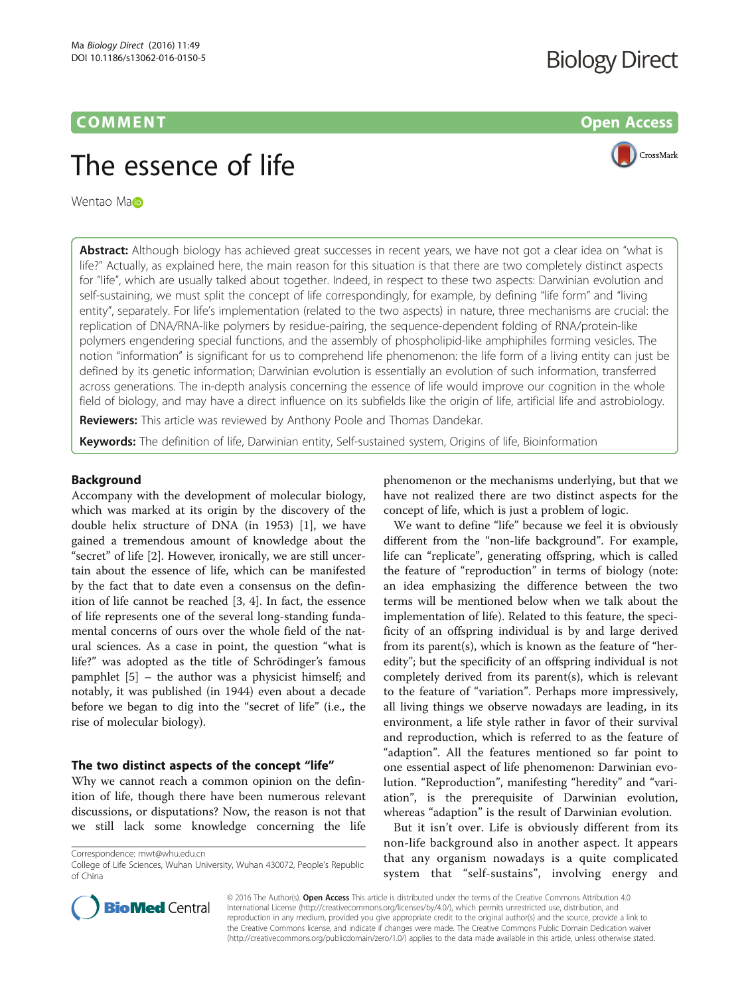# **COMMENT COMMENT COMMENT**

# **Biology Direct**



# The essence of life

Wentao Man

**Abstract:** Although biology has achieved great successes in recent years, we have not got a clear idea on "what is life?" Actually, as explained here, the main reason for this situation is that there are two completely distinct aspects for "life", which are usually talked about together. Indeed, in respect to these two aspects: Darwinian evolution and self-sustaining, we must split the concept of life correspondingly, for example, by defining "life form" and "living entity", separately. For life's implementation (related to the two aspects) in nature, three mechanisms are crucial: the replication of DNA/RNA-like polymers by residue-pairing, the sequence-dependent folding of RNA/protein-like polymers engendering special functions, and the assembly of phospholipid-like amphiphiles forming vesicles. The notion "information" is significant for us to comprehend life phenomenon: the life form of a living entity can just be defined by its genetic information; Darwinian evolution is essentially an evolution of such information, transferred across generations. The in-depth analysis concerning the essence of life would improve our cognition in the whole field of biology, and may have a direct influence on its subfields like the origin of life, artificial life and astrobiology.

**Reviewers:** This article was reviewed by Anthony Poole and Thomas Dandekar.

Keywords: The definition of life, Darwinian entity, Self-sustained system, Origins of life, Bioinformation

## Background

Accompany with the development of molecular biology, which was marked at its origin by the discovery of the double helix structure of DNA (in 1953) [\[1\]](#page-9-0), we have gained a tremendous amount of knowledge about the "secret" of life [\[2\]](#page-9-0). However, ironically, we are still uncertain about the essence of life, which can be manifested by the fact that to date even a consensus on the definition of life cannot be reached [[3, 4\]](#page-9-0). In fact, the essence of life represents one of the several long-standing fundamental concerns of ours over the whole field of the natural sciences. As a case in point, the question "what is life?" was adopted as the title of Schrödinger's famous pamphlet [\[5](#page-9-0)] – the author was a physicist himself; and notably, it was published (in 1944) even about a decade before we began to dig into the "secret of life" (i.e., the rise of molecular biology).

#### The two distinct aspects of the concept "life"

Why we cannot reach a common opinion on the definition of life, though there have been numerous relevant discussions, or disputations? Now, the reason is not that we still lack some knowledge concerning the life

Correspondence: [mwt@whu.edu.cn](mailto:mwt@whu.edu.cn)

phenomenon or the mechanisms underlying, but that we have not realized there are two distinct aspects for the concept of life, which is just a problem of logic.

We want to define "life" because we feel it is obviously different from the "non-life background". For example, life can "replicate", generating offspring, which is called the feature of "reproduction" in terms of biology (note: an idea emphasizing the difference between the two terms will be mentioned below when we talk about the implementation of life). Related to this feature, the specificity of an offspring individual is by and large derived from its parent(s), which is known as the feature of "heredity"; but the specificity of an offspring individual is not completely derived from its parent(s), which is relevant to the feature of "variation". Perhaps more impressively, all living things we observe nowadays are leading, in its environment, a life style rather in favor of their survival and reproduction, which is referred to as the feature of "adaption". All the features mentioned so far point to one essential aspect of life phenomenon: Darwinian evolution. "Reproduction", manifesting "heredity" and "variation", is the prerequisite of Darwinian evolution, whereas "adaption" is the result of Darwinian evolution.

But it isn't over. Life is obviously different from its non-life background also in another aspect. It appears that any organism nowadays is a quite complicated system that "self-sustains", involving energy and



© 2016 The Author(s). Open Access This article is distributed under the terms of the Creative Commons Attribution 4.0 International License [\(http://creativecommons.org/licenses/by/4.0/](http://creativecommons.org/licenses/by/4.0/)), which permits unrestricted use, distribution, and reproduction in any medium, provided you give appropriate credit to the original author(s) and the source, provide a link to the Creative Commons license, and indicate if changes were made. The Creative Commons Public Domain Dedication waiver [\(http://creativecommons.org/publicdomain/zero/1.0/](http://creativecommons.org/publicdomain/zero/1.0/)) applies to the data made available in this article, unless otherwise stated.

College of Life Sciences, Wuhan University, Wuhan 430072, People's Republic of China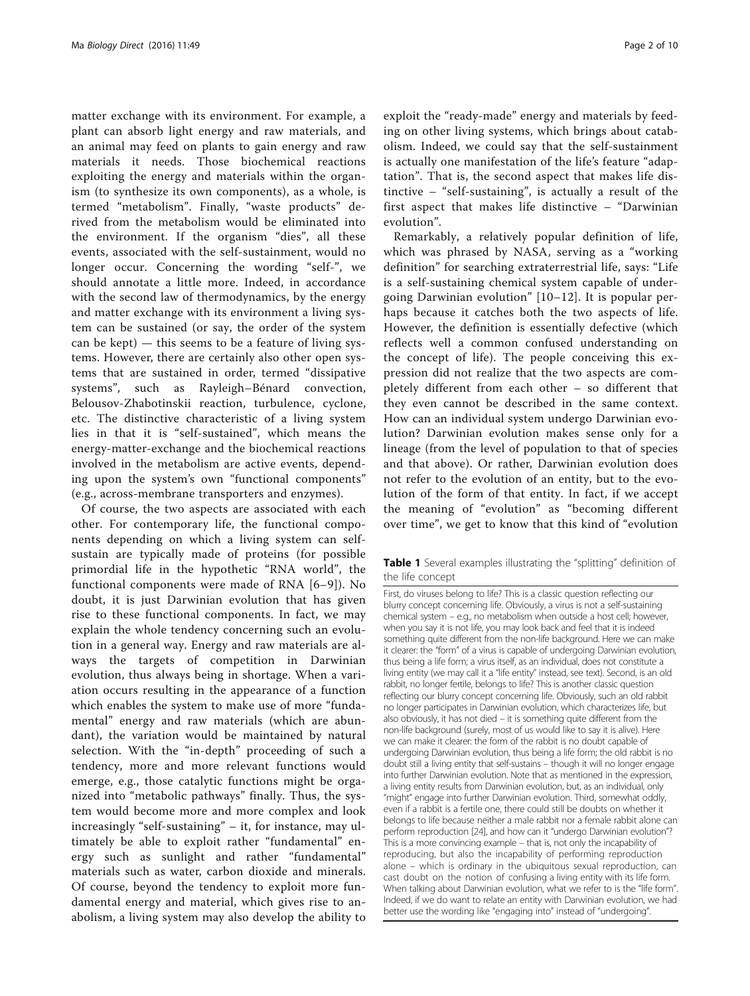<span id="page-1-0"></span>matter exchange with its environment. For example, a plant can absorb light energy and raw materials, and an animal may feed on plants to gain energy and raw materials it needs. Those biochemical reactions exploiting the energy and materials within the organism (to synthesize its own components), as a whole, is termed "metabolism". Finally, "waste products" derived from the metabolism would be eliminated into the environment. If the organism "dies", all these events, associated with the self-sustainment, would no longer occur. Concerning the wording "self-", we should annotate a little more. Indeed, in accordance with the second law of thermodynamics, by the energy and matter exchange with its environment a living system can be sustained (or say, the order of the system can be kept) — this seems to be a feature of living systems. However, there are certainly also other open systems that are sustained in order, termed "dissipative systems", such as Rayleigh–Bénard convection, Belousov-Zhabotinskii reaction, turbulence, cyclone, etc. The distinctive characteristic of a living system lies in that it is "self-sustained", which means the energy-matter-exchange and the biochemical reactions involved in the metabolism are active events, depending upon the system's own "functional components" (e.g., across-membrane transporters and enzymes).

Of course, the two aspects are associated with each other. For contemporary life, the functional components depending on which a living system can selfsustain are typically made of proteins (for possible primordial life in the hypothetic "RNA world", the functional components were made of RNA [[6](#page-9-0)–[9](#page-9-0)]). No doubt, it is just Darwinian evolution that has given rise to these functional components. In fact, we may explain the whole tendency concerning such an evolution in a general way. Energy and raw materials are always the targets of competition in Darwinian evolution, thus always being in shortage. When a variation occurs resulting in the appearance of a function which enables the system to make use of more "fundamental" energy and raw materials (which are abundant), the variation would be maintained by natural selection. With the "in-depth" proceeding of such a tendency, more and more relevant functions would emerge, e.g., those catalytic functions might be organized into "metabolic pathways" finally. Thus, the system would become more and more complex and look increasingly "self-sustaining" – it, for instance, may ultimately be able to exploit rather "fundamental" energy such as sunlight and rather "fundamental" materials such as water, carbon dioxide and minerals. Of course, beyond the tendency to exploit more fundamental energy and material, which gives rise to anabolism, a living system may also develop the ability to

exploit the "ready-made" energy and materials by feeding on other living systems, which brings about catabolism. Indeed, we could say that the self-sustainment is actually one manifestation of the life's feature "adaptation". That is, the second aspect that makes life distinctive – "self-sustaining", is actually a result of the first aspect that makes life distinctive – "Darwinian evolution".

Remarkably, a relatively popular definition of life, which was phrased by NASA, serving as a "working definition" for searching extraterrestrial life, says: "Life is a self-sustaining chemical system capable of undergoing Darwinian evolution" [\[10](#page-9-0)–[12\]](#page-9-0). It is popular perhaps because it catches both the two aspects of life. However, the definition is essentially defective (which reflects well a common confused understanding on the concept of life). The people conceiving this expression did not realize that the two aspects are completely different from each other – so different that they even cannot be described in the same context. How can an individual system undergo Darwinian evolution? Darwinian evolution makes sense only for a lineage (from the level of population to that of species and that above). Or rather, Darwinian evolution does not refer to the evolution of an entity, but to the evolution of the form of that entity. In fact, if we accept the meaning of "evolution" as "becoming different over time", we get to know that this kind of "evolution

Table 1 Several examples illustrating the "splitting" definition of the life concept

First, do viruses belong to life? This is a classic question reflecting our blurry concept concerning life. Obviously, a virus is not a self-sustaining chemical system – e.g., no metabolism when outside a host cell; however, when you say it is not life, you may look back and feel that it is indeed something quite different from the non-life background. Here we can make it clearer: the "form" of a virus is capable of undergoing Darwinian evolution, thus being a life form; a virus itself, as an individual, does not constitute a living entity (we may call it a "life entity" instead, see text). Second, is an old rabbit, no longer fertile, belongs to life? This is another classic question reflecting our blurry concept concerning life. Obviously, such an old rabbit no longer participates in Darwinian evolution, which characterizes life, but also obviously, it has not died – it is something quite different from the non-life background (surely, most of us would like to say it is alive). Here we can make it clearer: the form of the rabbit is no doubt capable of undergoing Darwinian evolution, thus being a life form; the old rabbit is no doubt still a living entity that self-sustains – though it will no longer engage into further Darwinian evolution. Note that as mentioned in the expression, a living entity results from Darwinian evolution, but, as an individual, only "might" engage into further Darwinian evolution. Third, somewhat oddly, even if a rabbit is a fertile one, there could still be doubts on whether it belongs to life because neither a male rabbit nor a female rabbit alone can perform reproduction [\[24\]](#page-9-0), and how can it "undergo Darwinian evolution"? This is a more convincing example – that is, not only the incapability of reproducing, but also the incapability of performing reproduction alone – which is ordinary in the ubiquitous sexual reproduction, can cast doubt on the notion of confusing a living entity with its life form. When talking about Darwinian evolution, what we refer to is the "life form" Indeed, if we do want to relate an entity with Darwinian evolution, we had better use the wording like "engaging into" instead of "undergoing".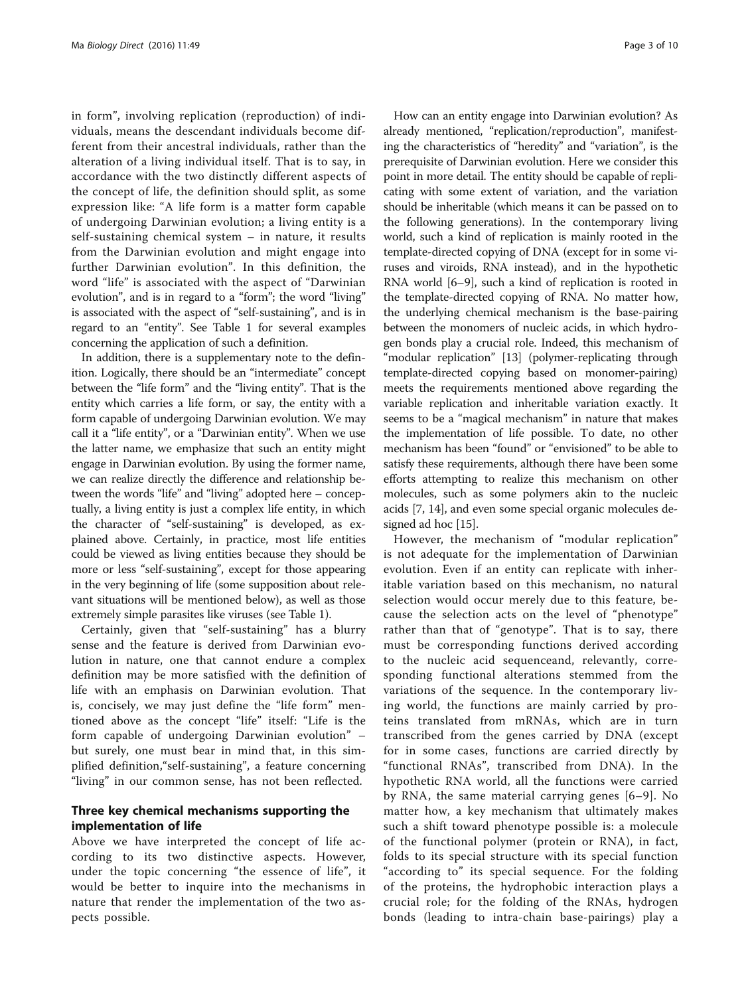in form", involving replication (reproduction) of individuals, means the descendant individuals become different from their ancestral individuals, rather than the alteration of a living individual itself. That is to say, in accordance with the two distinctly different aspects of the concept of life, the definition should split, as some expression like: "A life form is a matter form capable of undergoing Darwinian evolution; a living entity is a self-sustaining chemical system – in nature, it results from the Darwinian evolution and might engage into further Darwinian evolution". In this definition, the word "life" is associated with the aspect of "Darwinian evolution", and is in regard to a "form"; the word "living" is associated with the aspect of "self-sustaining", and is in regard to an "entity". See Table [1](#page-1-0) for several examples concerning the application of such a definition.

In addition, there is a supplementary note to the definition. Logically, there should be an "intermediate" concept between the "life form" and the "living entity". That is the entity which carries a life form, or say, the entity with a form capable of undergoing Darwinian evolution. We may call it a "life entity", or a "Darwinian entity". When we use the latter name, we emphasize that such an entity might engage in Darwinian evolution. By using the former name, we can realize directly the difference and relationship between the words "life" and "living" adopted here – conceptually, a living entity is just a complex life entity, in which the character of "self-sustaining" is developed, as explained above. Certainly, in practice, most life entities could be viewed as living entities because they should be more or less "self-sustaining", except for those appearing in the very beginning of life (some supposition about relevant situations will be mentioned below), as well as those extremely simple parasites like viruses (see Table [1](#page-1-0)).

Certainly, given that "self-sustaining" has a blurry sense and the feature is derived from Darwinian evolution in nature, one that cannot endure a complex definition may be more satisfied with the definition of life with an emphasis on Darwinian evolution. That is, concisely, we may just define the "life form" mentioned above as the concept "life" itself: "Life is the form capable of undergoing Darwinian evolution" – but surely, one must bear in mind that, in this simplified definition,"self-sustaining", a feature concerning "living" in our common sense, has not been reflected.

## Three key chemical mechanisms supporting the implementation of life

Above we have interpreted the concept of life according to its two distinctive aspects. However, under the topic concerning "the essence of life", it would be better to inquire into the mechanisms in nature that render the implementation of the two aspects possible.

How can an entity engage into Darwinian evolution? As already mentioned, "replication/reproduction", manifesting the characteristics of "heredity" and "variation", is the prerequisite of Darwinian evolution. Here we consider this point in more detail. The entity should be capable of replicating with some extent of variation, and the variation should be inheritable (which means it can be passed on to the following generations). In the contemporary living world, such a kind of replication is mainly rooted in the template-directed copying of DNA (except for in some viruses and viroids, RNA instead), and in the hypothetic RNA world [\[6](#page-9-0)–[9\]](#page-9-0), such a kind of replication is rooted in the template-directed copying of RNA. No matter how, the underlying chemical mechanism is the base-pairing between the monomers of nucleic acids, in which hydrogen bonds play a crucial role. Indeed, this mechanism of "modular replication" [[13](#page-9-0)] (polymer-replicating through template-directed copying based on monomer-pairing) meets the requirements mentioned above regarding the variable replication and inheritable variation exactly. It seems to be a "magical mechanism" in nature that makes the implementation of life possible. To date, no other mechanism has been "found" or "envisioned" to be able to satisfy these requirements, although there have been some efforts attempting to realize this mechanism on other molecules, such as some polymers akin to the nucleic acids [[7](#page-9-0), [14\]](#page-9-0), and even some special organic molecules designed ad hoc [\[15\]](#page-9-0).

However, the mechanism of "modular replication" is not adequate for the implementation of Darwinian evolution. Even if an entity can replicate with inheritable variation based on this mechanism, no natural selection would occur merely due to this feature, because the selection acts on the level of "phenotype" rather than that of "genotype". That is to say, there must be corresponding functions derived according to the nucleic acid sequenceand, relevantly, corresponding functional alterations stemmed from the variations of the sequence. In the contemporary living world, the functions are mainly carried by proteins translated from mRNAs, which are in turn transcribed from the genes carried by DNA (except for in some cases, functions are carried directly by "functional RNAs", transcribed from DNA). In the hypothetic RNA world, all the functions were carried by RNA, the same material carrying genes [[6](#page-9-0)–[9\]](#page-9-0). No matter how, a key mechanism that ultimately makes such a shift toward phenotype possible is: a molecule of the functional polymer (protein or RNA), in fact, folds to its special structure with its special function "according to" its special sequence. For the folding of the proteins, the hydrophobic interaction plays a crucial role; for the folding of the RNAs, hydrogen bonds (leading to intra-chain base-pairings) play a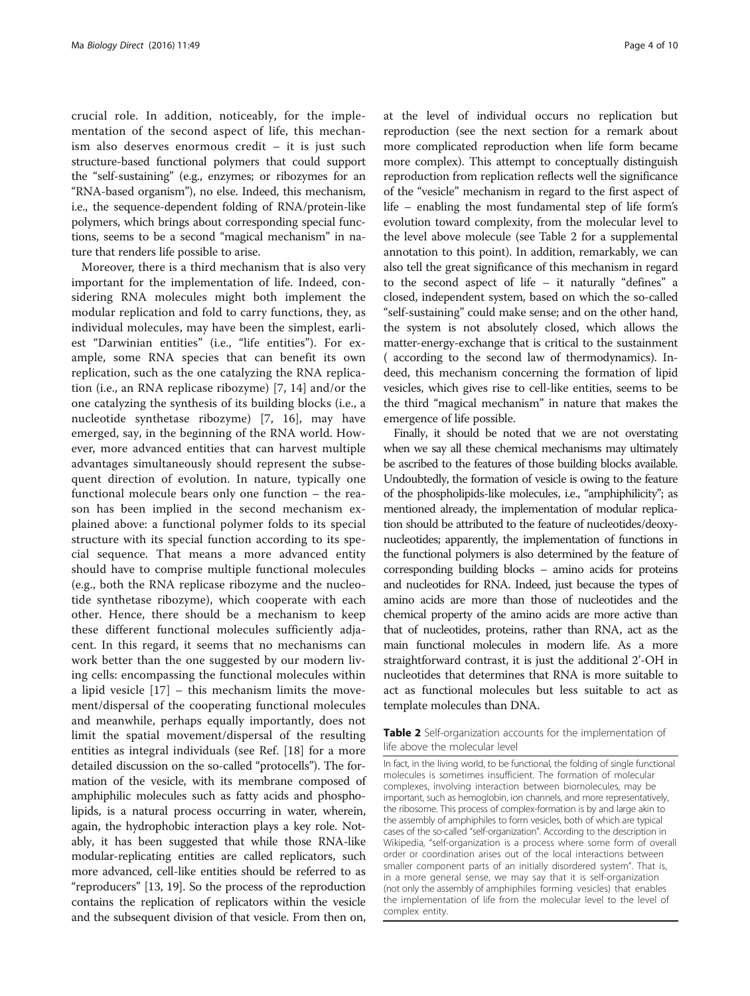<span id="page-3-0"></span>crucial role. In addition, noticeably, for the implementation of the second aspect of life, this mechanism also deserves enormous credit – it is just such structure-based functional polymers that could support the "self-sustaining" (e.g., enzymes; or ribozymes for an "RNA-based organism"), no else. Indeed, this mechanism, i.e., the sequence-dependent folding of RNA/protein-like polymers, which brings about corresponding special functions, seems to be a second "magical mechanism" in nature that renders life possible to arise.

Moreover, there is a third mechanism that is also very important for the implementation of life. Indeed, considering RNA molecules might both implement the modular replication and fold to carry functions, they, as individual molecules, may have been the simplest, earliest "Darwinian entities" (i.e., "life entities"). For example, some RNA species that can benefit its own replication, such as the one catalyzing the RNA replication (i.e., an RNA replicase ribozyme) [\[7](#page-9-0), [14](#page-9-0)] and/or the one catalyzing the synthesis of its building blocks (i.e., a nucleotide synthetase ribozyme) [[7](#page-9-0), [16\]](#page-9-0), may have emerged, say, in the beginning of the RNA world. However, more advanced entities that can harvest multiple advantages simultaneously should represent the subsequent direction of evolution. In nature, typically one functional molecule bears only one function – the reason has been implied in the second mechanism explained above: a functional polymer folds to its special structure with its special function according to its special sequence. That means a more advanced entity should have to comprise multiple functional molecules (e.g., both the RNA replicase ribozyme and the nucleotide synthetase ribozyme), which cooperate with each other. Hence, there should be a mechanism to keep these different functional molecules sufficiently adjacent. In this regard, it seems that no mechanisms can work better than the one suggested by our modern living cells: encompassing the functional molecules within a lipid vesicle [[17](#page-9-0)] – this mechanism limits the movement/dispersal of the cooperating functional molecules and meanwhile, perhaps equally importantly, does not limit the spatial movement/dispersal of the resulting entities as integral individuals (see Ref. [[18\]](#page-9-0) for a more detailed discussion on the so-called "protocells"). The formation of the vesicle, with its membrane composed of amphiphilic molecules such as fatty acids and phospholipids, is a natural process occurring in water, wherein, again, the hydrophobic interaction plays a key role. Notably, it has been suggested that while those RNA-like modular-replicating entities are called replicators, such more advanced, cell-like entities should be referred to as "reproducers" [[13](#page-9-0), [19](#page-9-0)]. So the process of the reproduction contains the replication of replicators within the vesicle and the subsequent division of that vesicle. From then on, at the level of individual occurs no replication but reproduction (see the next section for a remark about more complicated reproduction when life form became more complex). This attempt to conceptually distinguish reproduction from replication reflects well the significance of the "vesicle" mechanism in regard to the first aspect of life – enabling the most fundamental step of life form's evolution toward complexity, from the molecular level to the level above molecule (see Table 2 for a supplemental annotation to this point). In addition, remarkably, we can also tell the great significance of this mechanism in regard to the second aspect of life – it naturally "defines" a closed, independent system, based on which the so-called "self-sustaining" could make sense; and on the other hand, the system is not absolutely closed, which allows the matter-energy-exchange that is critical to the sustainment ( according to the second law of thermodynamics). Indeed, this mechanism concerning the formation of lipid vesicles, which gives rise to cell-like entities, seems to be the third "magical mechanism" in nature that makes the emergence of life possible.

Finally, it should be noted that we are not overstating when we say all these chemical mechanisms may ultimately be ascribed to the features of those building blocks available. Undoubtedly, the formation of vesicle is owing to the feature of the phospholipids-like molecules, i.e., "amphiphilicity"; as mentioned already, the implementation of modular replication should be attributed to the feature of nucleotides/deoxynucleotides; apparently, the implementation of functions in the functional polymers is also determined by the feature of corresponding building blocks – amino acids for proteins and nucleotides for RNA. Indeed, just because the types of amino acids are more than those of nucleotides and the chemical property of the amino acids are more active than that of nucleotides, proteins, rather than RNA, act as the main functional molecules in modern life. As a more straightforward contrast, it is just the additional 2'-OH in nucleotides that determines that RNA is more suitable to act as functional molecules but less suitable to act as template molecules than DNA.

#### Table 2 Self-organization accounts for the implementation of life above the molecular level

In fact, in the living world, to be functional, the folding of single functional molecules is sometimes insufficient. The formation of molecular complexes, involving interaction between biomolecules, may be important, such as hemoglobin, ion channels, and more representatively, the ribosome. This process of complex-formation is by and large akin to the assembly of amphiphiles to form vesicles, both of which are typical cases of the so-called "self-organization". According to the description in Wikipedia, "self-organization is a process where some form of overall order or coordination arises out of the local interactions between smaller component parts of an initially disordered system". That is, in a more general sense, we may say that it is self-organization (not only the assembly of amphiphiles forming vesicles) that enables the implementation of life from the molecular level to the level of complex entity.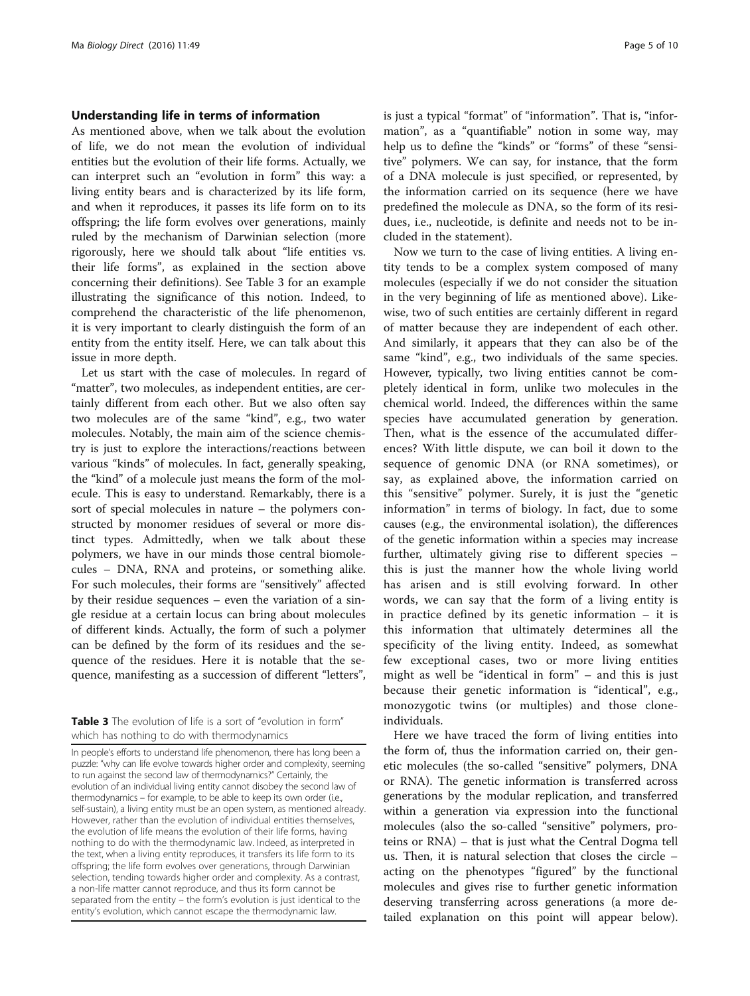#### Understanding life in terms of information

As mentioned above, when we talk about the evolution of life, we do not mean the evolution of individual entities but the evolution of their life forms. Actually, we can interpret such an "evolution in form" this way: a living entity bears and is characterized by its life form, and when it reproduces, it passes its life form on to its offspring; the life form evolves over generations, mainly ruled by the mechanism of Darwinian selection (more rigorously, here we should talk about "life entities vs. their life forms", as explained in the section above concerning their definitions). See Table 3 for an example illustrating the significance of this notion. Indeed, to comprehend the characteristic of the life phenomenon, it is very important to clearly distinguish the form of an entity from the entity itself. Here, we can talk about this issue in more depth.

Let us start with the case of molecules. In regard of "matter", two molecules, as independent entities, are certainly different from each other. But we also often say two molecules are of the same "kind", e.g., two water molecules. Notably, the main aim of the science chemistry is just to explore the interactions/reactions between various "kinds" of molecules. In fact, generally speaking, the "kind" of a molecule just means the form of the molecule. This is easy to understand. Remarkably, there is a sort of special molecules in nature – the polymers constructed by monomer residues of several or more distinct types. Admittedly, when we talk about these polymers, we have in our minds those central biomolecules – DNA, RNA and proteins, or something alike. For such molecules, their forms are "sensitively" affected by their residue sequences – even the variation of a single residue at a certain locus can bring about molecules of different kinds. Actually, the form of such a polymer can be defined by the form of its residues and the sequence of the residues. Here it is notable that the sequence, manifesting as a succession of different "letters",

Table 3 The evolution of life is a sort of "evolution in form" which has nothing to do with thermodynamics

In people's efforts to understand life phenomenon, there has long been a puzzle: "why can life evolve towards higher order and complexity, seeming to run against the second law of thermodynamics?" Certainly, the evolution of an individual living entity cannot disobey the second law of thermodynamics – for example, to be able to keep its own order (i.e., self-sustain), a living entity must be an open system, as mentioned already. However, rather than the evolution of individual entities themselves, the evolution of life means the evolution of their life forms, having nothing to do with the thermodynamic law. Indeed, as interpreted in the text, when a living entity reproduces, it transfers its life form to its offspring; the life form evolves over generations, through Darwinian selection, tending towards higher order and complexity. As a contrast, a non-life matter cannot reproduce, and thus its form cannot be separated from the entity – the form's evolution is just identical to the entity's evolution, which cannot escape the thermodynamic law.

is just a typical "format" of "information". That is, "information", as a "quantifiable" notion in some way, may help us to define the "kinds" or "forms" of these "sensitive" polymers. We can say, for instance, that the form of a DNA molecule is just specified, or represented, by the information carried on its sequence (here we have predefined the molecule as DNA, so the form of its residues, i.e., nucleotide, is definite and needs not to be included in the statement).

Now we turn to the case of living entities. A living entity tends to be a complex system composed of many molecules (especially if we do not consider the situation in the very beginning of life as mentioned above). Likewise, two of such entities are certainly different in regard of matter because they are independent of each other. And similarly, it appears that they can also be of the same "kind", e.g., two individuals of the same species. However, typically, two living entities cannot be completely identical in form, unlike two molecules in the chemical world. Indeed, the differences within the same species have accumulated generation by generation. Then, what is the essence of the accumulated differences? With little dispute, we can boil it down to the sequence of genomic DNA (or RNA sometimes), or say, as explained above, the information carried on this "sensitive" polymer. Surely, it is just the "genetic information" in terms of biology. In fact, due to some causes (e.g., the environmental isolation), the differences of the genetic information within a species may increase further, ultimately giving rise to different species – this is just the manner how the whole living world has arisen and is still evolving forward. In other words, we can say that the form of a living entity is in practice defined by its genetic information – it is this information that ultimately determines all the specificity of the living entity. Indeed, as somewhat few exceptional cases, two or more living entities might as well be "identical in form" – and this is just because their genetic information is "identical", e.g., monozygotic twins (or multiples) and those cloneindividuals.

Here we have traced the form of living entities into the form of, thus the information carried on, their genetic molecules (the so-called "sensitive" polymers, DNA or RNA). The genetic information is transferred across generations by the modular replication, and transferred within a generation via expression into the functional molecules (also the so-called "sensitive" polymers, proteins or RNA) – that is just what the Central Dogma tell us. Then, it is natural selection that closes the circle – acting on the phenotypes "figured" by the functional molecules and gives rise to further genetic information deserving transferring across generations (a more detailed explanation on this point will appear below).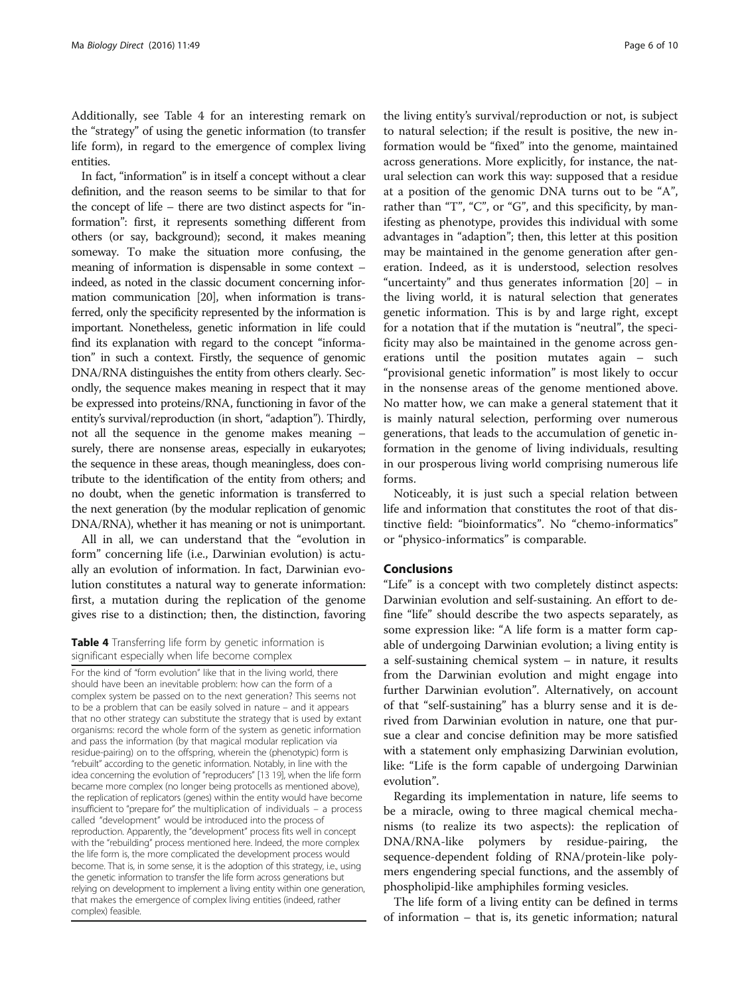<span id="page-5-0"></span>Additionally, see Table 4 for an interesting remark on the "strategy" of using the genetic information (to transfer life form), in regard to the emergence of complex living entities.

In fact, "information" is in itself a concept without a clear definition, and the reason seems to be similar to that for the concept of life – there are two distinct aspects for "information": first, it represents something different from others (or say, background); second, it makes meaning someway. To make the situation more confusing, the meaning of information is dispensable in some context – indeed, as noted in the classic document concerning information communication [\[20\]](#page-9-0), when information is transferred, only the specificity represented by the information is important. Nonetheless, genetic information in life could find its explanation with regard to the concept "information" in such a context. Firstly, the sequence of genomic DNA/RNA distinguishes the entity from others clearly. Secondly, the sequence makes meaning in respect that it may be expressed into proteins/RNA, functioning in favor of the entity's survival/reproduction (in short, "adaption"). Thirdly, not all the sequence in the genome makes meaning – surely, there are nonsense areas, especially in eukaryotes; the sequence in these areas, though meaningless, does contribute to the identification of the entity from others; and no doubt, when the genetic information is transferred to the next generation (by the modular replication of genomic DNA/RNA), whether it has meaning or not is unimportant.

All in all, we can understand that the "evolution in form" concerning life (i.e., Darwinian evolution) is actually an evolution of information. In fact, Darwinian evolution constitutes a natural way to generate information: first, a mutation during the replication of the genome gives rise to a distinction; then, the distinction, favoring

Table 4 Transferring life form by genetic information is significant especially when life become complex

For the kind of "form evolution" like that in the living world, there should have been an inevitable problem: how can the form of a complex system be passed on to the next generation? This seems not to be a problem that can be easily solved in nature – and it appears that no other strategy can substitute the strategy that is used by extant organisms: record the whole form of the system as genetic information and pass the information (by that magical modular replication via residue-pairing) on to the offspring, wherein the (phenotypic) form is "rebuilt" according to the genetic information. Notably, in line with the idea concerning the evolution of "reproducers" [\[13 19](#page-9-0)], when the life form became more complex (no longer being protocells as mentioned above), the replication of replicators (genes) within the entity would have become insufficient to "prepare for" the multiplication of individuals – a process called "development" would be introduced into the process of reproduction. Apparently, the "development" process fits well in concept with the "rebuilding" process mentioned here. Indeed, the more complex the life form is, the more complicated the development process would become. That is, in some sense, it is the adoption of this strategy, i.e., using the genetic information to transfer the life form across generations but relying on development to implement a living entity within one generation, that makes the emergence of complex living entities (indeed, rather complex) feasible.

the living entity's survival/reproduction or not, is subject to natural selection; if the result is positive, the new information would be "fixed" into the genome, maintained across generations. More explicitly, for instance, the natural selection can work this way: supposed that a residue at a position of the genomic DNA turns out to be "A", rather than "T", "C", or "G", and this specificity, by manifesting as phenotype, provides this individual with some advantages in "adaption"; then, this letter at this position may be maintained in the genome generation after generation. Indeed, as it is understood, selection resolves "uncertainty" and thus generates information [[20\]](#page-9-0) – in the living world, it is natural selection that generates genetic information. This is by and large right, except for a notation that if the mutation is "neutral", the specificity may also be maintained in the genome across generations until the position mutates again – such "provisional genetic information" is most likely to occur in the nonsense areas of the genome mentioned above. No matter how, we can make a general statement that it is mainly natural selection, performing over numerous generations, that leads to the accumulation of genetic information in the genome of living individuals, resulting in our prosperous living world comprising numerous life forms.

Noticeably, it is just such a special relation between life and information that constitutes the root of that distinctive field: "bioinformatics". No "chemo-informatics" or "physico-informatics" is comparable.

## Conclusions

"Life" is a concept with two completely distinct aspects: Darwinian evolution and self-sustaining. An effort to define "life" should describe the two aspects separately, as some expression like: "A life form is a matter form capable of undergoing Darwinian evolution; a living entity is a self-sustaining chemical system – in nature, it results from the Darwinian evolution and might engage into further Darwinian evolution". Alternatively, on account of that "self-sustaining" has a blurry sense and it is derived from Darwinian evolution in nature, one that pursue a clear and concise definition may be more satisfied with a statement only emphasizing Darwinian evolution, like: "Life is the form capable of undergoing Darwinian evolution".

Regarding its implementation in nature, life seems to be a miracle, owing to three magical chemical mechanisms (to realize its two aspects): the replication of DNA/RNA-like polymers by residue-pairing, the sequence-dependent folding of RNA/protein-like polymers engendering special functions, and the assembly of phospholipid-like amphiphiles forming vesicles.

The life form of a living entity can be defined in terms of information – that is, its genetic information; natural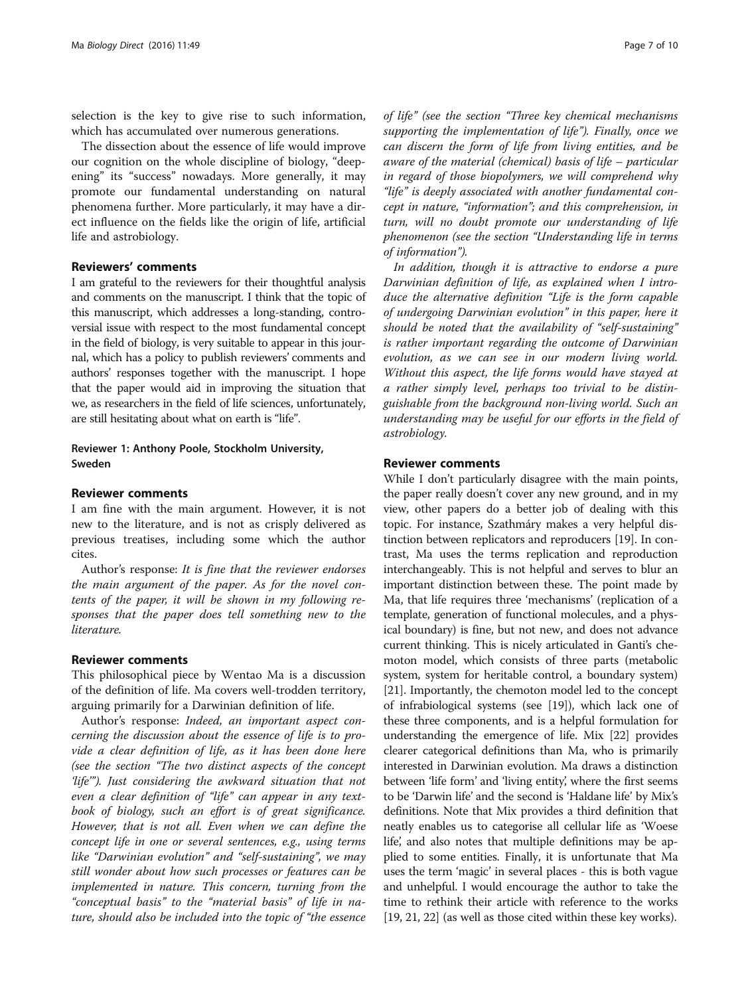selection is the key to give rise to such information, which has accumulated over numerous generations.

The dissection about the essence of life would improve our cognition on the whole discipline of biology, "deepening" its "success" nowadays. More generally, it may promote our fundamental understanding on natural phenomena further. More particularly, it may have a direct influence on the fields like the origin of life, artificial life and astrobiology.

# Reviewers' comments

I am grateful to the reviewers for their thoughtful analysis and comments on the manuscript. I think that the topic of this manuscript, which addresses a long-standing, controversial issue with respect to the most fundamental concept in the field of biology, is very suitable to appear in this journal, which has a policy to publish reviewers' comments and authors' responses together with the manuscript. I hope that the paper would aid in improving the situation that we, as researchers in the field of life sciences, unfortunately, are still hesitating about what on earth is "life".

# Reviewer 1: Anthony Poole, Stockholm University, Sweden

# Reviewer comments

I am fine with the main argument. However, it is not new to the literature, and is not as crisply delivered as previous treatises, including some which the author cites.

Author's response: It is fine that the reviewer endorses the main argument of the paper. As for the novel contents of the paper, it will be shown in my following responses that the paper does tell something new to the literature.

#### Reviewer comments

This philosophical piece by Wentao Ma is a discussion of the definition of life. Ma covers well-trodden territory, arguing primarily for a Darwinian definition of life.

Author's response: Indeed, an important aspect concerning the discussion about the essence of life is to provide a clear definition of life, as it has been done here (see the section "The two distinct aspects of the concept 'life'"). Just considering the awkward situation that not even a clear definition of "life" can appear in any textbook of biology, such an effort is of great significance. However, that is not all. Even when we can define the concept life in one or several sentences, e.g., using terms like "Darwinian evolution" and "self-sustaining", we may still wonder about how such processes or features can be implemented in nature. This concern, turning from the "conceptual basis" to the "material basis" of life in nature, should also be included into the topic of "the essence of life" (see the section "Three key chemical mechanisms supporting the implementation of life"). Finally, once we can discern the form of life from living entities, and be aware of the material (chemical) basis of life – particular in regard of those biopolymers, we will comprehend why "life" is deeply associated with another fundamental concept in nature, "information"; and this comprehension, in turn, will no doubt promote our understanding of life phenomenon (see the section "Understanding life in terms of information").

In addition, though it is attractive to endorse a pure Darwinian definition of life, as explained when I introduce the alternative definition "Life is the form capable of undergoing Darwinian evolution" in this paper, here it should be noted that the availability of "self-sustaining" is rather important regarding the outcome of Darwinian evolution, as we can see in our modern living world. Without this aspect, the life forms would have stayed at a rather simply level, perhaps too trivial to be distinguishable from the background non-living world. Such an understanding may be useful for our efforts in the field of astrobiology.

### Reviewer comments

While I don't particularly disagree with the main points, the paper really doesn't cover any new ground, and in my view, other papers do a better job of dealing with this topic. For instance, Szathmáry makes a very helpful distinction between replicators and reproducers [\[19\]](#page-9-0). In contrast, Ma uses the terms replication and reproduction interchangeably. This is not helpful and serves to blur an important distinction between these. The point made by Ma, that life requires three 'mechanisms' (replication of a template, generation of functional molecules, and a physical boundary) is fine, but not new, and does not advance current thinking. This is nicely articulated in Ganti's chemoton model, which consists of three parts (metabolic system, system for heritable control, a boundary system) [[21](#page-9-0)]. Importantly, the chemoton model led to the concept of infrabiological systems (see [\[19](#page-9-0)]), which lack one of these three components, and is a helpful formulation for understanding the emergence of life. Mix [\[22\]](#page-9-0) provides clearer categorical definitions than Ma, who is primarily interested in Darwinian evolution. Ma draws a distinction between 'life form' and 'living entity', where the first seems to be 'Darwin life' and the second is 'Haldane life' by Mix's definitions. Note that Mix provides a third definition that neatly enables us to categorise all cellular life as 'Woese life', and also notes that multiple definitions may be applied to some entities. Finally, it is unfortunate that Ma uses the term 'magic' in several places - this is both vague and unhelpful. I would encourage the author to take the time to rethink their article with reference to the works [[19](#page-9-0), [21, 22](#page-9-0)] (as well as those cited within these key works).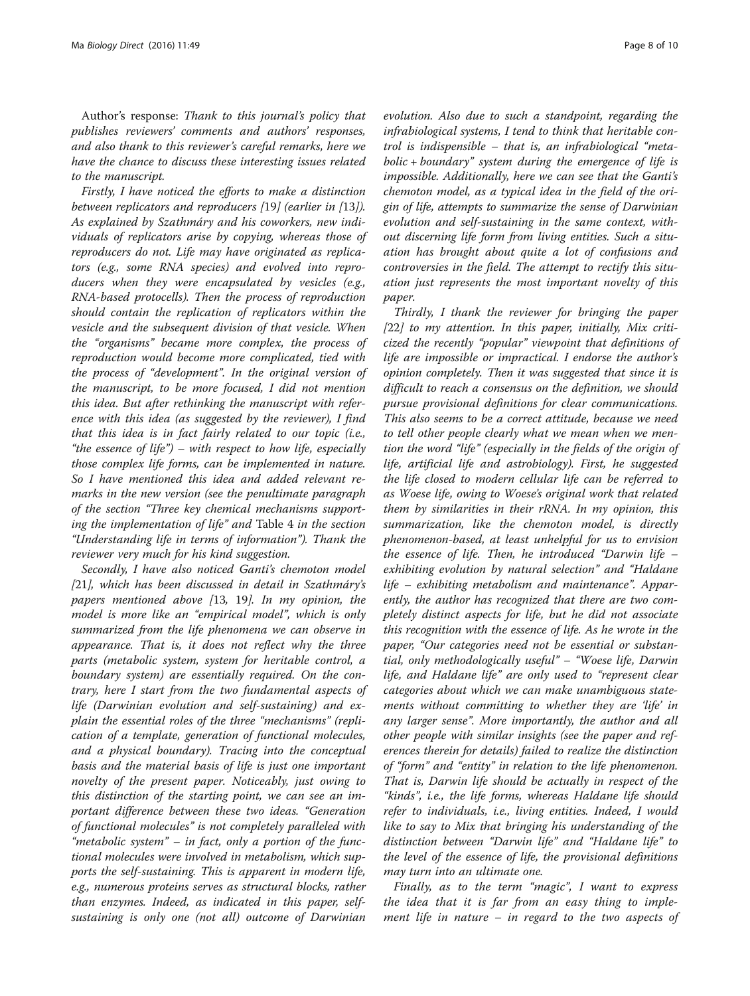Author's response: Thank to this journal's policy that publishes reviewers' comments and authors' responses, and also thank to this reviewer's careful remarks, here we have the chance to discuss these interesting issues related to the manuscript.

Firstly, I have noticed the efforts to make a distinction between replicators and reproducers [[19](#page-9-0)] (earlier in [[13](#page-9-0)]). As explained by Szathmáry and his coworkers, new individuals of replicators arise by copying, whereas those of reproducers do not. Life may have originated as replicators (e.g., some RNA species) and evolved into reproducers when they were encapsulated by vesicles (e.g., RNA-based protocells). Then the process of reproduction should contain the replication of replicators within the vesicle and the subsequent division of that vesicle. When the "organisms" became more complex, the process of reproduction would become more complicated, tied with the process of "development". In the original version of the manuscript, to be more focused, I did not mention this idea. But after rethinking the manuscript with reference with this idea (as suggested by the reviewer), I find that this idea is in fact fairly related to our topic (i.e., "the essence of life") – with respect to how life, especially those complex life forms, can be implemented in nature. So I have mentioned this idea and added relevant remarks in the new version (see the penultimate paragraph of the section "Three key chemical mechanisms supporting the implementation of life" and Table [4](#page-5-0) in the section "Understanding life in terms of information"). Thank the reviewer very much for his kind suggestion.

Secondly, I have also noticed Ganti's chemoton model [[21](#page-9-0)], which has been discussed in detail in Szathmáry's papers mentioned above [[13](#page-9-0), [19](#page-9-0)]. In my opinion, the model is more like an "empirical model", which is only summarized from the life phenomena we can observe in appearance. That is, it does not reflect why the three parts (metabolic system, system for heritable control, a boundary system) are essentially required. On the contrary, here I start from the two fundamental aspects of life (Darwinian evolution and self-sustaining) and explain the essential roles of the three "mechanisms" (replication of a template, generation of functional molecules, and a physical boundary). Tracing into the conceptual basis and the material basis of life is just one important novelty of the present paper. Noticeably, just owing to this distinction of the starting point, we can see an important difference between these two ideas. "Generation of functional molecules" is not completely paralleled with "metabolic system" – in fact, only a portion of the functional molecules were involved in metabolism, which supports the self-sustaining. This is apparent in modern life, e.g., numerous proteins serves as structural blocks, rather than enzymes. Indeed, as indicated in this paper, selfsustaining is only one (not all) outcome of Darwinian

evolution. Also due to such a standpoint, regarding the infrabiological systems, I tend to think that heritable control is indispensible – that is, an infrabiological "metabolic + boundary" system during the emergence of life is impossible. Additionally, here we can see that the Ganti's chemoton model, as a typical idea in the field of the origin of life, attempts to summarize the sense of Darwinian evolution and self-sustaining in the same context, without discerning life form from living entities. Such a situation has brought about quite a lot of confusions and controversies in the field. The attempt to rectify this situation just represents the most important novelty of this paper.

Thirdly, I thank the reviewer for bringing the paper  $[22]$  $[22]$  $[22]$  to my attention. In this paper, initially, Mix criticized the recently "popular" viewpoint that definitions of life are impossible or impractical. I endorse the author's opinion completely. Then it was suggested that since it is difficult to reach a consensus on the definition, we should pursue provisional definitions for clear communications. This also seems to be a correct attitude, because we need to tell other people clearly what we mean when we mention the word "life" (especially in the fields of the origin of life, artificial life and astrobiology). First, he suggested the life closed to modern cellular life can be referred to as Woese life, owing to Woese's original work that related them by similarities in their rRNA. In my opinion, this summarization, like the chemoton model, is directly phenomenon-based, at least unhelpful for us to envision the essence of life. Then, he introduced "Darwin life – exhibiting evolution by natural selection" and "Haldane life – exhibiting metabolism and maintenance". Apparently, the author has recognized that there are two completely distinct aspects for life, but he did not associate this recognition with the essence of life. As he wrote in the paper, "Our categories need not be essential or substantial, only methodologically useful"–"Woese life, Darwin life, and Haldane life" are only used to "represent clear categories about which we can make unambiguous statements without committing to whether they are 'life' in any larger sense". More importantly, the author and all other people with similar insights (see the paper and references therein for details) failed to realize the distinction of "form" and "entity" in relation to the life phenomenon. That is, Darwin life should be actually in respect of the "kinds", i.e., the life forms, whereas Haldane life should refer to individuals, i.e., living entities. Indeed, I would like to say to Mix that bringing his understanding of the distinction between "Darwin life" and "Haldane life" to the level of the essence of life, the provisional definitions may turn into an ultimate one.

Finally, as to the term "magic", I want to express the idea that it is far from an easy thing to implement life in nature – in regard to the two aspects of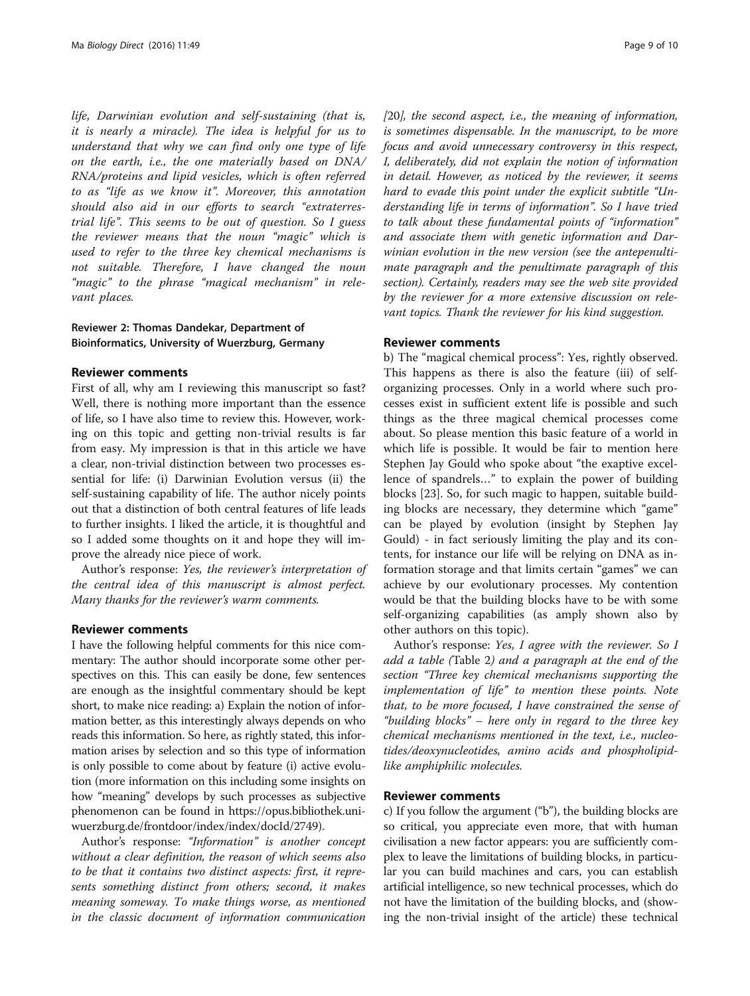life, Darwinian evolution and self-sustaining (that is, it is nearly a miracle). The idea is helpful for us to understand that why we can find only one type of life on the earth, i.e., the one materially based on DNA/ RNA/proteins and lipid vesicles, which is often referred to as "life as we know it". Moreover, this annotation should also aid in our efforts to search "extraterrestrial life". This seems to be out of question. So I guess the reviewer means that the noun "magic" which is used to refer to the three key chemical mechanisms is not suitable. Therefore, I have changed the noun "magic" to the phrase "magical mechanism" in relevant places.

# Reviewer 2: Thomas Dandekar, Department of Bioinformatics, University of Wuerzburg, Germany

#### Reviewer comments

First of all, why am I reviewing this manuscript so fast? Well, there is nothing more important than the essence of life, so I have also time to review this. However, working on this topic and getting non-trivial results is far from easy. My impression is that in this article we have a clear, non-trivial distinction between two processes essential for life: (i) Darwinian Evolution versus (ii) the self-sustaining capability of life. The author nicely points out that a distinction of both central features of life leads to further insights. I liked the article, it is thoughtful and so I added some thoughts on it and hope they will improve the already nice piece of work.

Author's response: Yes, the reviewer's interpretation of the central idea of this manuscript is almost perfect. Many thanks for the reviewer's warm comments.

#### Reviewer comments

I have the following helpful comments for this nice commentary: The author should incorporate some other perspectives on this. This can easily be done, few sentences are enough as the insightful commentary should be kept short, to make nice reading: a) Explain the notion of information better, as this interestingly always depends on who reads this information. So here, as rightly stated, this information arises by selection and so this type of information is only possible to come about by feature (i) active evolution (more information on this including some insights on how "meaning" develops by such processes as subjective phenomenon can be found in [https://opus.bibliothek.uni](https://opus.bibliothek.uni-wuerzburg.de/frontdoor/index/index/docId/2749)[wuerzburg.de/frontdoor/index/index/docId/2749\)](https://opus.bibliothek.uni-wuerzburg.de/frontdoor/index/index/docId/2749).

Author's response: "Information" is another concept without a clear definition, the reason of which seems also to be that it contains two distinct aspects: first, it represents something distinct from others; second, it makes meaning someway. To make things worse, as mentioned in the classic document of information communication [[20](#page-9-0)], the second aspect, i.e., the meaning of information, is sometimes dispensable. In the manuscript, to be more focus and avoid unnecessary controversy in this respect, I, deliberately, did not explain the notion of information in detail. However, as noticed by the reviewer, it seems hard to evade this point under the explicit subtitle "Understanding life in terms of information". So I have tried to talk about these fundamental points of "information" and associate them with genetic information and Darwinian evolution in the new version (see the antepenultimate paragraph and the penultimate paragraph of this section). Certainly, readers may see the web site provided by the reviewer for a more extensive discussion on relevant topics. Thank the reviewer for his kind suggestion.

#### Reviewer comments

b) The "magical chemical process": Yes, rightly observed. This happens as there is also the feature (iii) of selforganizing processes. Only in a world where such processes exist in sufficient extent life is possible and such things as the three magical chemical processes come about. So please mention this basic feature of a world in which life is possible. It would be fair to mention here Stephen Jay Gould who spoke about "the exaptive excellence of spandrels…" to explain the power of building blocks [[23\]](#page-9-0). So, for such magic to happen, suitable building blocks are necessary, they determine which "game" can be played by evolution (insight by Stephen Jay Gould) - in fact seriously limiting the play and its contents, for instance our life will be relying on DNA as information storage and that limits certain "games" we can achieve by our evolutionary processes. My contention would be that the building blocks have to be with some self-organizing capabilities (as amply shown also by other authors on this topic).

Author's response: Yes, I agree with the reviewer. So I add a table (Table [2](#page-3-0)) and a paragraph at the end of the section "Three key chemical mechanisms supporting the implementation of life" to mention these points. Note that, to be more focused, I have constrained the sense of "building blocks" – here only in regard to the three key chemical mechanisms mentioned in the text, i.e., nucleotides/deoxynucleotides, amino acids and phospholipidlike amphiphilic molecules.

#### Reviewer comments

c) If you follow the argument ("b"), the building blocks are so critical, you appreciate even more, that with human civilisation a new factor appears: you are sufficiently complex to leave the limitations of building blocks, in particular you can build machines and cars, you can establish artificial intelligence, so new technical processes, which do not have the limitation of the building blocks, and (showing the non-trivial insight of the article) these technical